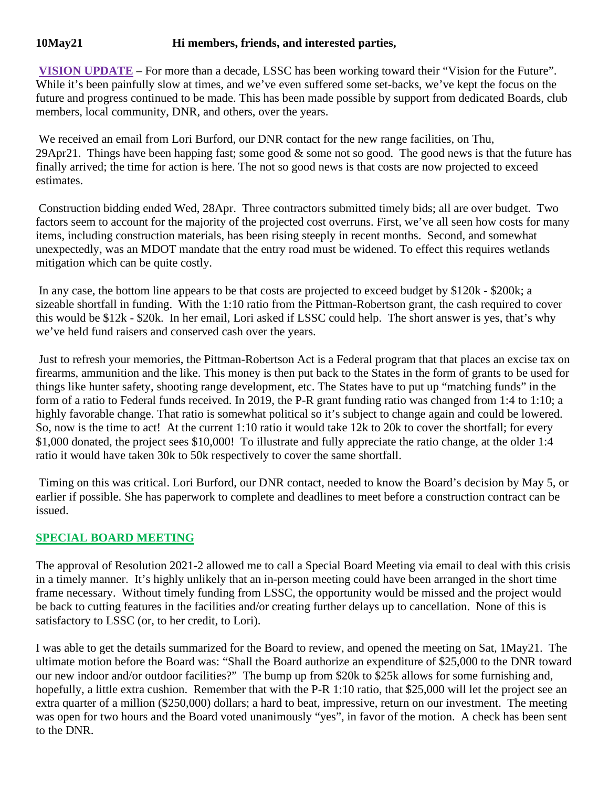## **10May21 Hi members, friends, and interested parties,**

**VISION UPDATE** – For more than a decade, LSSC has been working toward their "Vision for the Future". While it's been painfully slow at times, and we've even suffered some set-backs, we've kept the focus on the future and progress continued to be made. This has been made possible by support from dedicated Boards, club members, local community, DNR, and others, over the years.

We received an email from Lori Burford, our DNR contact for the new range facilities, on Thu, 29Apr21. Things have been happing fast; some good  $\&$  some not so good. The good news is that the future has finally arrived; the time for action is here. The not so good news is that costs are now projected to exceed estimates.

Construction bidding ended Wed, 28Apr. Three contractors submitted timely bids; all are over budget. Two factors seem to account for the majority of the projected cost overruns. First, we've all seen how costs for many items, including construction materials, has been rising steeply in recent months. Second, and somewhat unexpectedly, was an MDOT mandate that the entry road must be widened. To effect this requires wetlands mitigation which can be quite costly.

In any case, the bottom line appears to be that costs are projected to exceed budget by \$120k - \$200k; a sizeable shortfall in funding. With the 1:10 ratio from the Pittman-Robertson grant, the cash required to cover this would be \$12k - \$20k. In her email, Lori asked if LSSC could help. The short answer is yes, that's why we've held fund raisers and conserved cash over the years.

Just to refresh your memories, the Pittman-Robertson Act is a Federal program that that places an excise tax on firearms, ammunition and the like. This money is then put back to the States in the form of grants to be used for things like hunter safety, shooting range development, etc. The States have to put up "matching funds" in the form of a ratio to Federal funds received. In 2019, the P-R grant funding ratio was changed from 1:4 to 1:10; a highly favorable change. That ratio is somewhat political so it's subject to change again and could be lowered. So, now is the time to act! At the current 1:10 ratio it would take 12k to 20k to cover the shortfall; for every \$1,000 donated, the project sees \$10,000! To illustrate and fully appreciate the ratio change, at the older 1:4 ratio it would have taken 30k to 50k respectively to cover the same shortfall.

Timing on this was critical. Lori Burford, our DNR contact, needed to know the Board's decision by May 5, or earlier if possible. She has paperwork to complete and deadlines to meet before a construction contract can be issued.

## **SPECIAL BOARD MEETING**

The approval of Resolution 2021-2 allowed me to call a Special Board Meeting via email to deal with this crisis in a timely manner. It's highly unlikely that an in-person meeting could have been arranged in the short time frame necessary. Without timely funding from LSSC, the opportunity would be missed and the project would be back to cutting features in the facilities and/or creating further delays up to cancellation. None of this is satisfactory to LSSC (or, to her credit, to Lori).

I was able to get the details summarized for the Board to review, and opened the meeting on Sat, 1May21. The ultimate motion before the Board was: "Shall the Board authorize an expenditure of \$25,000 to the DNR toward our new indoor and/or outdoor facilities?" The bump up from \$20k to \$25k allows for some furnishing and, hopefully, a little extra cushion. Remember that with the P-R 1:10 ratio, that \$25,000 will let the project see an extra quarter of a million (\$250,000) dollars; a hard to beat, impressive, return on our investment. The meeting was open for two hours and the Board voted unanimously "yes", in favor of the motion. A check has been sent to the DNR.